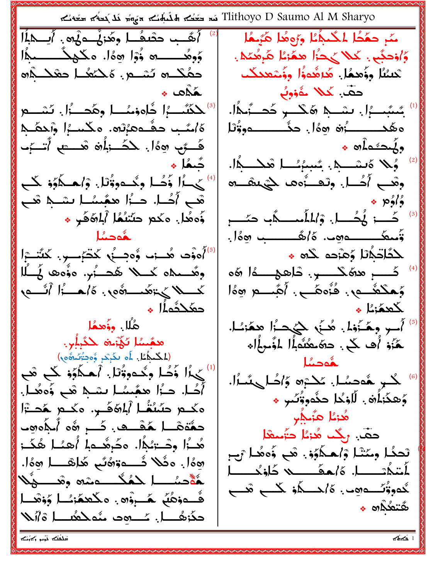Tlithoyo D Saumo Al M Sharyo تَمَّة بِمَ تَعْتُكُمْ الْمُسْلِمُ بِمَ تَعْتُمْ مَتَحَمَّة تَسْتَمَّة تَسَمَّة بِمَ <sup>2)</sup> أَهَّب حثَّىفُ وهُزَيْ<u> وَأَسَامَ الْمَ</u>لَامِ الْمَسْتَمَارَاً سِّرِ حمَّحًا لمكْتَجِّيًا وَرَوْهَا هَيْتُهَا وُوهُـــــــــــه وُوْا هوْا. مكْمِكْـــــــــمِدًا وَ/وَحِبْبٍ . كَذَا حَجْزًا هِمَّرْمًا هَرْهُكُمْ . تَعِينُا وَوَجِعُا. هُرَهُووَٰا وَوَعْقِعِدِكُت حفُكْتُ نُسْتُمْ. هُكْتُعُنَا حَعْكَمُهُ حقٌّ، كَملاً خُوْوِبُ مَكَّاهَا \* مُسَّبِّبُ أَ. سَبْ هَكْـــو حَصــتُمَّال لْكُنُسْبُرَا خُلُوفِمُسَا وِهَٰصَـٰٓرَٰا. نَسْسُمْ ة/مُب حفْــومُ تَمْ. وكَســرًا وْلِحَصَّــهِ ەھَكـــــــــأنه ھەُل. ھگــــــــــــوۋْتا  $\bullet$   $\circ$   $\lambda$   $\circ$   $\sim$   $\lambda$ , كَــِرَى هِ٥ُ . لِكَــَـزَلَمْنَ هُـــَـهِ أَتَــَرَـَـ وُلا ەَىشىلە. ئىبىرُسْلا ھَكلىداً. دٌـمُا ھ لَّكُمَا أَوْحُمَا وِجُمْعُووْنَا. وْاهْلُوْذِ ݣُلْ وقب أُحُـــا. وتصــأهما لكَيْبِيڤـــها هَبِ أَحُــا. حــزًا همَّــسُــا بشــهِ هَب  $\ast$  p/2 .<br>-<br>كَــــز هُكُــــا. وْالمأمـــــدُّب حمّــــر .<br>وَّەهُدا. مَكْم حَنَّنْتُمَا )ْبِاهَفَدٍ \* ـ شەدىئا أَهْوُد هُــزم وُّهجــزُو كَحْبُـــوِ. كَشَـْــْزا $\delta^{(5)}$ لمَثَاتِكُمْلَا وُعْزَحه لَحْدِهِ \* وهُـــــده كَــــــلا هُـدــــزُر. هؤْهِ فَـــلُّل بصاًا أنْسِعاهُ بِرَهِڤْمِسْمَة تَرَمَّلْكُمْ وَمِكْعُــِـمٍ. فُنُوهَـــي. أُهَّـــــمِ وَوَا حعَكثُماُ! ٭ كمحكزئا . هُلًا. وذُههُا أُسو وِهَـزُوْلَم. هُـزَى لِكَيْحِـزًا هِمَّوْسُـل همُسُا تَكْبَرْهُ كَذَبِأَبَ هُّزُوْ أُهِ ﴾. دَهَ حَثَمَاً الْوُجِأَا (الْكُنْجُمْا: أَو تَكْرِكْرْ وُوْحِتُرْتُبْوُوْمِ) Leon جَدًا وَّكُما وِحُدوقُوْل أَحكَّوَو كُلّ شَي لْحَدِ هُوصلًا. كَحْبْرَه وَٱصَلَّى مَثْلًا. أُحُل حـرًا همِّسُـا بشـهِ قب وَّوهُـا. وَّهَذَا أَهْ . لَاوْخُا حَثُّهُ وَقُصُرٍ ﴾ هَكُـــمْ حَمَّنْهُــا آَبِلْهُفَـــرٍ. مَكــمْ هَجـــتْزَا هُدْمًا هَنُبِيْر حقَّقَصْدا هَقْسِعْ. كُلّْبِ رَهُمْ أَيْجُمُوهِ حقّ رجّك هُزْيُلْ حَزَّمْهُلْ هُدُرُا وحْـــٰ:بُــٰهُا. وحُـرهُـــولِم أهمُــا هُكَـــز تَحِدُّا مِمَّتْلِ وْاهِـكُوِّفٍ. قَبِي فُوهُـا رَبِّ رەەُا. ەئْلا ئىسەۋەنُى ھَاھْسا رەەُا. هُؤْدِسُـــــا حَـهُگُــــــــه مِنْدِهِ ۖ وَقُـــــــهُْلَا ئدوۋئىسەيەب ، ةاھىكە كىس قىس ڤُــوهُبُّ هُـــروُه . مكْعِمٌرْـُــا وُوْهْــا شَتْعُدُاه ﴾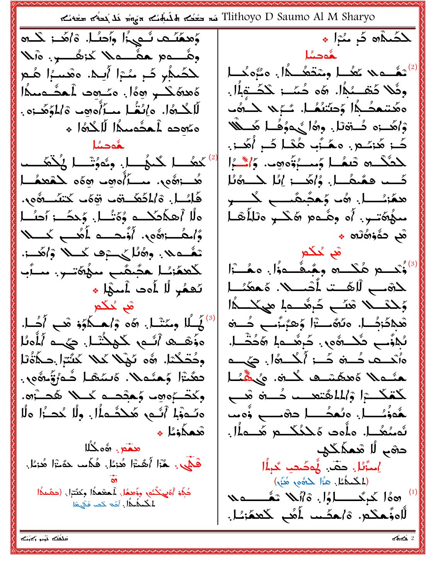Tlithoyo D Saumo Al M Sharyo تَمَّة تَسْلَمُ A مُتَّبُّلُهُ مَّةً مِنْ مَعْنُكُمْ مَتَّبُتُمْ مَتَّب لَحَمَدُه مَ سُرًا \* وَهِمَنَـه نَـمِيزًا وأحنُـا. 16هَــز كَـــره وهُــــەم ھڤــــە\\ كَنْ صُــــــــــو. هُلا تَعْـــه مَا حَفَـــا وِمْتَعْـــدًا. هَزْهِكْـــا لْكَمَلَّارِ كَلَّ مُدْرًا أَبِيهَ. وقيسةًا هُنْعَ وِثَلا دَقسْبُهْا. ۞ه حُسَّــ: كَحَــتِهِٱلْ. ەَھەككىر رەەُل. ەسەھ ئاھشىمىمە ەھتىممْلِمُّا وَحتَنتُمْل سُبَرى كلوه لَالْكُـرُهُ|. وإِنْغُـل مِـزَاْهِ وهِب وْالْمُوَهَّـزَهِ . وْاهَــزه حُــةْقَالْ. وَهَا يُحوُهُــا هَـــلَّلَا وءُوجه أُحجَّومِها لَاجُدُّا ﴾ كَــز هَٰزئــم. مَعْـَزُبِ هُنْـا كَــرِ أُهَــز. مُمحِينًا لْمَثَكُّسُ مُعَصَّلٍ وَمَسْبُوَّهِ وَمِن. وَٱصْبَرُا هُــزهُوب. مسألُوهِ وهوَه كَمْعَمُــا كَـــد هِمُمعُـــل. وُاهَــــز إِنَّا ﴿ــدَةَٰنَا ھكَتَسُلَىٰ ، مَا وَحَصِّصَّى لَمْسَنِي فَاسُلَ. ةَالْمُكَسِّقِفَ قِوَّبَ كَتْسُرْقُوبَ. هلًا ٱهكَمكْـــه وُهَّـُـــل. وُحكَـــز ٱحنُـــل مْدَوَّمَّتْسِ. أَهْ وِهُـُـهِ وَهُكْــرٍ وَلَلْأَهْــا وَّامِقُد;«قَ». أَوَّمْعِده لِمَعْنِ كَمِسْلا ့် တပိတ်နှစ်သူ ထိ تعُسهد. وثَّلُّل يحبوها كمسلا وْأَهْسَة. أُدْحِكُ هُكْتُ وَجَمِّدٌ ءَٰوَٰلَ هُــٰٓٓوَا ݣَعْعَنْـَا عَجّْىقَىـى مْلّْ2ْتَـىر. مىـأب لِحْشَبِ لْأَهْتَ أَحْسِيهِ. هُمْعَنُا تُعمُرٍ لَا أَوت أَسَوْا ﴾ وَحِدْسَـــلا هْتَـــو حَرْهُـــولِم هِيكَـــدًا ھُم مُكُم لْهُ الْمُ مِمَتْدا. وَمَعْ أَجْداً وَسَلَّمَ وَسَلَّمَ مِنْ الْمَحْمَلَ هْدِدَٰجُــا. دَنُهُـــتْزَا وَهِيَـنَّبِ حُـــة هَوَّهْـــدُ أَنَّــهِ كَــُهِــدُّـْــا. حَيْــدُ أَلْمُدُا ئَجْفُبِ ثَكْــْ7ُوبْ. خَرِشُــْمِهْ \$حُتَّــا. وحُصْكْتا. ۞ه نَهْلا عَلا كَنْتَرَا حِكَةُنَا ەأتمى ئەڭ ئىسز أىگىدۇل. كېيىم دهَّنْزَا وَحسَّم&. ەَسَىْھَا شُمْرَقُتْ وَمَنْ هَشُملاً هُمْشَمْتْ كُمْ وَيُتَقِّمُوا كَمْكَمْ وَالْمَلْمُتَعْسَى دُسْرَةً مْسَحْ وكَذَّرُه وَمِهْدَدٍ كَمِيلًا هُدَرْهِ. وَنُـوْذَا أَنُــم هَكْــُـولًا . ولًا عُصـُرًا ولًا هُوَذُـُـــا. وبُعجُــــا د۞ــــــ وْويب لُهمُعُك, هذْهِد هَكْكُكُمْ هَكْدَاً. تَعمَلُوْمُا \* ation pas دەْم لا مْمكّكى قَطِّي . هُزَا أَهُتْزَا هُزِيْل. فُلِّمب حَقَتْزَا هُزِيْل. إمزُنُا. حقّ هُوصُف كَرِلًا (المُكْمُمُّا. هِزًا كَمُّهَ، هُنَّى) دُبُلُوْ أَهَىٰكُتُم، ووَّههُلْ. لمُعشَعَدُا وكَتُتِرَا. (حصَّندُا 100 كېڭىسساۇل ۋاتىلا ئېقىسىملا لمكمله أحُد كت فقها لْلُهِ مُعَكَّمٍ. ۞ اهدًى لَمُكِنَّ لَكُعْهَ: الْ

سَلَفُلُہ مَہْم سَمْرُکُمْ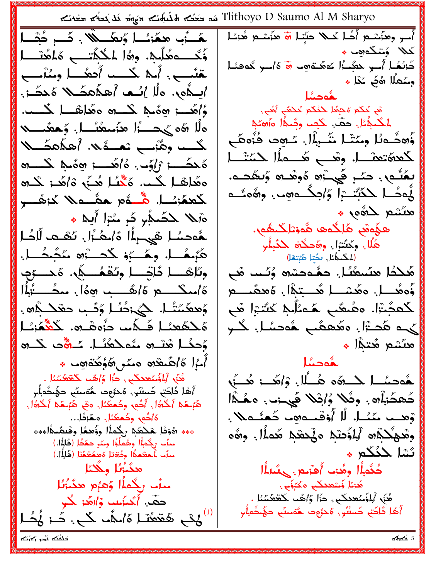Tlithoyo D Saumo Al M Sharyo تَمَّة بِمَ تَعْتُكُمْ الْمُسْلِمُ بِمَ تَعْتُمْ مَتَحَمَّة تَسْتَمَّة تَسَمَّة بِمَ

لَّمَـٰٓئُ مِنْ الْمُنْسَلِّ وَتَمَـٰلُوْلَ . كَـَــرٍ كُفْـَـلِّ وَّخْــــوهُلُـج. وِهَٰا لِمَحْكُمْتــــح هَلْهُنْــــل تقنُّب في أمكن أحفُ ومُنْتَفِي ومُنْتَفِي ابِدُور. ولَا إِنَّمِ أَهِدَهِكُمْ وَحَكَمَ: وُأَهَٰدٍ وَدَّمِهِ كَلْسُوهِ وَهَٰاهَـَـا كُلْسَةٍ. ولًا 60 جَحِصَرًا هُزَمِعْتُمِلٍ. وَحَقَّمِصِد لكسه وعُنْبٍ تمسَّفُلا. أَهلَمْعَشَلا كَحْكَسِيزْ تَرْكَوْمٍ . كَأْهُكْسِيزْ 30ْمِيلا ݣْلْسِيرْهِ ەھَلْھْلْ كُب، ەَمُّىْلْ هُنَّى ۋَاهَٰ: كُبُّو كَعِمَنِــا. هُـــؤم مِعْـــولا كَزِهُــــوِ هَلا للصَّلَمِ مَّ سُرَا أَبِلا \* لَّدُهِ الْمَسْرِينَ الْمَسْرَةُ الْمِسْرَةُ الْمُسْحَدِّ لَلْأَسَّلَ هُرُهُــا. وِهُـــرُو كُحـــرْه مُحُحْــا. وِنَاهَـــا دَّاتِـــا وِنَقْمُـــي. هَــــوِّب كَاسْتَـــــْمِ كَاݣْتَـــِبْ هِدًا. مَمْـــــتّْبَلُّا وَهِمَمَّتُمْلِ حَيْجَمُعُلِ وَكَبِ حَقَدَ أَمَّهِ . ەَ كَمُعنَا فَــكَ بِ ذُوصْـو. كَــُّهُ;ـُـا وَحِكْمٍ مْشَـرْهِ مُدْحَكْسُـلْ سُـرْقُ حَـرْهِ أُمُرا ٱلْمُمْلَاهِ مِمُرِ ۞وُوُهُدَهِ \* هُنَّى ٱبِلزَّمْعَعَدَكُمْ . حَزَّا وَٱهُبَ كَعَعَدَعْمَمُا . أَهُا دَٰاَحَٰتٖ حُسْسُرٍ. هُـدْوَت ـهُتَمِسُن حَهُندُهِ أَر هَبُسَكَمْ أَحْدُهُا. أُشُور وحُمعَنُا. وقو هَبُسَكَمْ أَحْدُهُا. ة/حُم، وحُمعَنْا. ممَّرْطُ... موم هُوْدًا هَكْتَكُمْ رَجُّدَاْ! وِؤْمِنْهُا وِقْتَمَدًامِمِهِ مِيزًى رِجْحِياً! وِهُمِلُوْ! وَيَمْرِ حَمَّجًا (قَلِلًا!.) سِلَبٍ أَحْشَمَاْ وَدُوْتَا وَهَمْعَعْمُنَا (قَالِمًا). هدًىٰزُىٰل وِهْلِيْل سأب رِبُّداًا وَعزْم هِنَّنْزُلَا حقّ. أَكْتَزَت وْالْهَا كُلّ لْكُمْ مُقْتَدَا هُ/مُفْ لَكُمْ. كُـٰ لَهُكُـا حْلُفُلُهِ مَهْدِ وَكُوْلُهُ

أُسِرٍ وِهِنَمْسِمٍ أَحُلَّ حَلَّا حَبَّنَا فَ هَزَمْسُمٍ هُزَئَنَا ئملاً وُسْكُمِينٍ \* دَّائِعًا أَسِرِ حَجَّسَأَا عَمَّدَهِ ۚ قَ 1َأَسِرِ خُوفَنَا وسُملًا هُنَّ غُدًا ﴾ حُودِينًا َّفِ مُكَمَّ مَمَ *مُلَّذِ الْحُكُم مُحَمَّدٍ أَهْدٍ.*<br>الْحُلَيْةُ الْحَلَّةُ الْحَلَّيْ وَجُلَّةُ أَمَّاهَكِيْ وُهڪُملُا ومَنْنَـا شَـٰبِٱل سُـهِڡ فُزُهِكَـ كَعِدَةَتِعِنْــا. وقب مَحْــواْ! حَمَّتْــا ىمْلُم، حتىم فَيْ آلا ەُوقْدە وَتْقْحَدە. لْمِصْلِ لِكَبِّنْتِ ۚ وَإِجِكْتُمِ مِن وَوَّةَ مِنْتَ هنئتم لمؤهده ھڳوش ھُلگوھ ھُونالگىھُو. هُلُّا، وكَتَّتَ!. وهَحكُه حَكَبُهُر (الحُبْدُءُلِ. بِجَّتِلِ هَرَّتِهَا) هُكْتُا هِنُسْهُدًا. حَقَّـهْـْمَتَّ وُنَّـب مْبِ كْهَجّْتْل وهُبعًى هُوبُلُبِهِ كَتُنْتِرَا هُي ىّ مَحَــْرَا. ەھُھمَّى هُەجسُــا. كُــو ملَّسْمِ هُتِّيْهِ ا فُودِيُنَا هُوصِيُسا لِمَسْتَوْهِ وَسُلَّا. وْأَهَسَعْ هُسْيًى كَعْجَلْلُهِ. وِثُلا وُ/ثِلا فَي زم. هِمْدًا وْهِــد مَنْـال لَٰه أَوْقْمِــدْهِد كَـعْنُـدْلا . وثَعِهْكُمُ ۞ أَبْلَؤُحِلْكُ هَ لَحِمْكُمْ هَٰحَالًا. وَرَّةُه ئشا حنُكُم \* حَذَّبِهُمْ الْمَسْرِرِ. وَعَنْهُمْ الْمُعَامَلُهُ الْمَعَامَلُهُ الْمَعَامَلُهُ الْمَعَامَلُهُ الْ هُوَمُا وُسْعَدِكُمْ مَكَرُفَى ِ. هُنَّهِ ٱبِلزَّمْسُعِدِكُمْ . دَٰرَا وَّاهُمْ كَعْقَقْسَنَا أَهُا دَٰاكَتِ حَسْسُ، هَدْوَت حُقْصَبُ حَهَيْجُواْر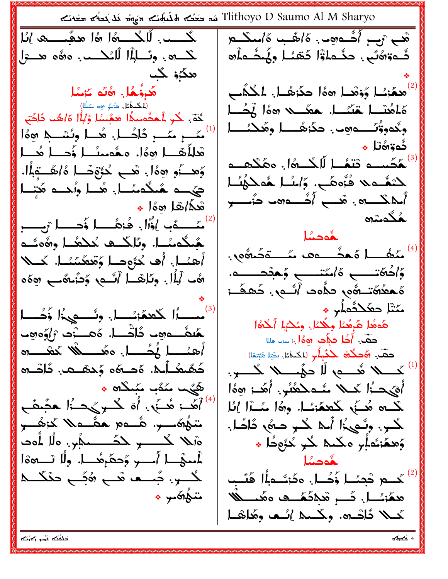| Tlithoyo D Saumo Al M Sharyo تَمَّة بِمَ A مُعَلِّكُمْ بِمَعْهُمْ مُعَلِّكُمْ مَعَنَّكُمْ مَتَّفَتُكُمْ            |                                                                                                                                                                                                                                  |
|--------------------------------------------------------------------------------------------------------------------|----------------------------------------------------------------------------------------------------------------------------------------------------------------------------------------------------------------------------------|
| لْكَــــبِ. لَٰلَكُــــةُ اهُ اهْجُمــــــه إِنَّا                                                                 | ھُے آہے اُُشْـــدومہِ. ۂاُھُـب ۂاُمگـــع                                                                                                                                                                                         |
| كْتُرُهِ . وِئْتُلِذَا لَائْكُنْتُ وَهُوَ هُدْرًا                                                                  | ئَــدَةِهُنَّــى . حَثَــداَةُ! كَتَّفَـُـا وِلَمَــثَــداً@                                                                                                                                                                     |
| ھگېو گب                                                                                                            |                                                                                                                                                                                                                                  |
| هُدِوْهُا. هُنُه مُزْمُا                                                                                           | ْهِمُرْسًا وُوْتَعَـا هِءُا حَذَّهُـا. لَمْكُلُب                                                                                                                                                                                 |
| (الْكَيْمُةِ) مَّتَرٌ وَوَ عَبْلًا)<br>كُنَّةٌ . كُلِّ الْحَشُّومِيكُمْ! صَعِّيمُا وْإِيْاً! وَأَوْضُلَّا كَلَاضَة | كَاهُنْــا هَنْــا. حكَـــد 160 لْمُكَــا                                                                                                                                                                                        |
| عَــــر عَــــر كَاكُـــا. هُـــا وِنُسْـــهِ هِهُا                                                                | وكُدوقُ ًے وقت حكَّرْهُ لِمَ وَهُكْتُ لِمَ                                                                                                                                                                                       |
|                                                                                                                    | ာ အမျိုး အမျိုး အမျိုး အမျိုး အမျိုး အမျိုး အမျိုး အမျိုး အမျိုး အမျိုး အမျိုး အမျိုး အမျိုး အမျိုး အမျိုး အမျ<br>အမျိုး အမျိုး အမျိုး အမျိုး အမျိုး အမျိုး အမျိုး အမျိုး အမျိုး အမျိုး အမျိုး အမျိုး အမျိုး အမျိုး အမျိုး အမျို |
| وَهنُّو هِهُا. هَبِ كُوَّةِهْما هُ/هُنَّةِ.                                                                        | لْمُكَسِدِ ثَتْغُــا لَٰلَكُــوَٰا. وَهُكُعَــدِ                                                                                                                                                                                 |
| دَي ه هُنگُه مُنا. هُنا وُلِمَد هَٰتِنا                                                                            | لِتَمُّـهِ لَا مُتَّوَهَّـبٍ. وَاسُـٰلَ هُوَ لِكُهُـٰلَ                                                                                                                                                                          |
| مَكَّارُهَا وَيُّ أَنْ مُسْتَقِيَّةً مِنْ الْمُسْتَقِيَّةِ مِنْ الْمُسْتَقِيَّةِ مِنْ الْمُسْتَقِيَّة              | أسلامكسسين فسن وأمست وأست                                                                                                                                                                                                        |
|                                                                                                                    | مُكْمِنْد <i>ە</i><br>مُعْصِيْل                                                                                                                                                                                                  |
| هُبِكُومُــا. وِتُلِكْــف عُطْعُــا وِرُوَوْــو                                                                    | مَمْهُـــــا هُـعثَــــــــه مَـــــــقصَّة بِهِ مِنْ                                                                                                                                                                            |
| أَهنُــا. أَفَّ خُرُّوهــا وُتَعَفَّمَنْــا. كَـــلا                                                               |                                                                                                                                                                                                                                  |
| هُ۔ ٱبْلَا. وِنَاهَــا ٱنَــمِ وَدَّـْهُـــ وِهَه                                                                  | هُ هَعْدُهُ تَـــوهُ مِ دَهُومَ ﴾ أنَّـــمٍ . كَــمِـهَـــز                                                                                                                                                                      |
|                                                                                                                    |                                                                                                                                                                                                                                  |
| ( <sup>3)</sup> مسألكعمّنكل ونُسمِينًا وَمُسل<br>هُبِمُــــووبِ دُلْتُــــا. وَمــــْزَبِ رَاوُووبِ                | مَنْنَا حَعَّلاَثُماُر *<br>عَمَعُا عَ <sub>َلِ</sub> عُنا وِيَّننا. وِعْن <sub>َا</sub> ٱلْحُمَّا                                                                                                                               |
| أهنُـــا مُحُـــا. هغَــــفَلا كَعْــــم                                                                           | احقَّةِ. أُجُلَّ عَجَّفَ وَوَهُ إِلَى مِنَا وَلِيْنَ                                                                                                                                                                             |
| كَتّْمَتْكُــاْما. ەَھــەە وَحْتْقــع. دَاتــە                                                                     | حَمّ. وَحَكْوَه حَكَيْلُو (الحَّمُنَا. بِثَنَا هَبَّمَا)<br>كمسلا شُسم لَمَا حيُّمسلا لَمُســـوٍ.                                                                                                                                |
| گُهُم م <i>َ</i> گُب مَبْلَاهِ *                                                                                   | أَهْيِحِيًٰٓا كَحِلا مُتَّمِحِطْتُي. أَهَد: هِهَا                                                                                                                                                                                |
| أَهَد: هُــَنِ. أَهْ كُــِرِي حِــَٰ; هَجَّمَتَــِ                                                                 | كت هُنَّى كَعِمَّتْهِ. وهُ مُنْهَ إِنَّا                                                                                                                                                                                         |
| سْهُ\$سَــِر. هُـــەم ھھُـــەلما كَمْرَهُـــــو                                                                    | كُــدٍ. ونُــمِيدُ! أَمــمْ كُــدٍ حــوهُ ۖ دَّاحُــاً.                                                                                                                                                                          |
| ة ملا لِمُسْسِمٍ لِمُكْسِسِمِهِ وَالْمَاءُدِ                                                                       | وَهِمْنَشَابِ مَكْتُمْ كُلِّ كُوُوطًا ﴾                                                                                                                                                                                          |
| أَسهَٰــا أُــــو وَحصَّرِهُـــا. ولَا تــــــــه                                                                  | ح المستقال السياسية السياسية السياسية السياسية السياسية السياسية السياسية السياسية السياسية السياسية                                                                                                                             |
| كُـــــو. جُـــــما مْـــــ ، هُجَــــع حنْكَــــمْ                                                                | كُــــمْ حْجِئُـــا فُجُـــا. ودَّنْــْــولَمَا هَنَــب                                                                                                                                                                          |
| مْنْكُوكُمْبْ *                                                                                                    | همَّنْــا. كُـــر مْكَكَّـــْ مِّمْتَــُمْــُـــُلَّا                                                                                                                                                                            |
|                                                                                                                    | كَـــلا دُاتْـــره. وكُـــمط إنْــمـ وهُلْاتْـــل                                                                                                                                                                                |
| $\frac{1}{\sqrt{4\pi}}$                                                                                            |                                                                                                                                                                                                                                  |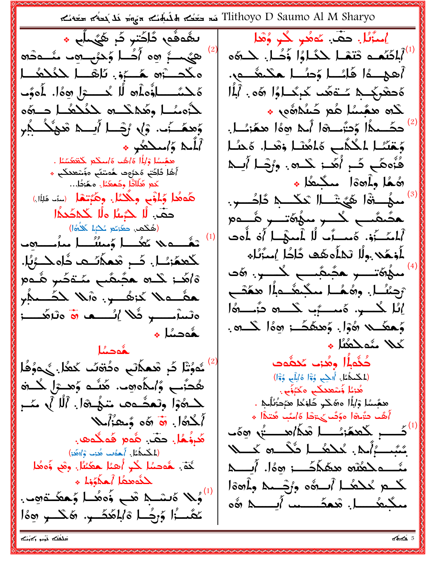Tlithoyo D Saumo Al M Sharyo تَمَّدُكُمْ الْمُسْلِمُ مَعْ مَنْ Tlithoyo D Saumo Al M Sharyo ىشەفْە دُاخْتو دُو ھُنَّى اُل \* إسرَّبُلْ. حقَّ. عَمِيْدٍ لِكُنِّ وُهْلَ ههُمسُرٌ وهِ أُحُساً وَجَهْنِ وهِ مُسْمَحْوِهِ أَبْلَكَتُم وَتَنْقُسًا حَكَمَاؤًا وَّدُمَا. حَسَنُهُ ەڭجەش ھَيۇ. ئاھىل كېڭگىل أهجسة وأفلا والله المتحدد والمستحدين ەَحْسَّــاۋْەلُە لَا حُـــوْل ھِەْل لَەوَّ ەُحعْرِبُجِي سُـتەمَد سُرِيُحارُا ھَو. آلِمُا لأوسُا وهُمْكُد لحُلْكُما حدهُ Lo asma da cultion : وَهمَــزَٰٮ. وۡ﴾ وُجۡــا ٱیـــه شَهُكُـــٰهُۥ حكَـــمأا وَحَتَّمــــهَا أَمك هوَا هِمَّرْسُــا. وَحْسَّـا لمَكْلُب هَاهُنْـا وْهْـا. هَـنـُـا آباسه واسطعكوبه هِجَسْا وْإِذَا هَ/هُب هَ/سكم كَعْهَسْنَا . فُنُوهَــ دَّــر أُهَــز كَـــره . ورُجْــا أُبِـــد أَهُا دَٰاكَتٖ هَدْءٍوت هُوسَنِّي وَزُسْعِدِكُنِ ﴾ هُمُا وَأَ90\$ سَكْيْتُهَا \* كَعِرْ هَٰلَاتْلَا وِكَعِعَدُلْ. مِمَّرْدُلْ... هَدَهُا وَلَمْهِم وِيَكْتُلْ. وِهَبْتِهْل (سِرَّت مَلِلًا) مِجْدَةًا هَيْتْمِ السَّرْعَةُ اشْرِب. حقّب لًا ڪيئا ولَّا ڪَڪڪُا ھئىئىب كىس مىھۇتىس ئىسمە (هُكْم. حَعَّنِهِ عُكْبًا لَحْدُهُ) ٱلْمَصَّـٰٓوَٰ؞ ۚ هَمسـرَّب لَّا ۖ أَمميْكِ أَهْ ۖ أَهڢ لَمُفَحَلا بِولًا لَكَلِّهُ هَٰذَا كَاحًا إِسْزَٰنَا ﴾ كَعِمَّتْـا. كَــرِ مْعَكَّسُـْتَ ذَاهِـكَــرُبُا. 'مَمْ16تَــَــَــَـَ هَجَّـمَّـَــَــَ كُـــَـــَرٍ. 6َدَ ةَاهَٰـۃ كَـــــه حَجَّــصَّـب مَــتَوَحَّــبِ هُــومِ هقُــها\ كَنْرْهُـــــــــبٍ. 10% للكَــــــمابِر ]ئا كُــــو. هُمــــرَب كَــــــه تزُـــــــهُ١ ەلىملاسىسىز ھُلا <u>ا</u>ئىسى**مە ق**ا ەللاھُــــــز وَحْكَمِهِ رَوْمِ وَمُحَكَّبَةٍ وَوَا كُلُّهِ. هُ الله عليه ىُمْلَا مُەكْتُنَا \* لمُوصِيُا حُذْهِلُمْ وهُن، مُدهَّدت كَوُتْا كَرِ شَعَكَانَى مِدُوَّمَٰ لَكَمُا. يُحوُفُا  $^{(2)}$ (المُحْمَٰيُّا. أَاحْبِ وُوَّا هُ/أَبِي وُوَّا) ھُڪَب وَؒاٰٮكُوھِڡ. هَٰڬُـه وَهــوَل كُــة هُزئا وُسْعِدِكُم مَكَرُوُم . لكَنْݣُولُ وتْعَشّْدَهَا شَيْخَاهَا. أَلَلْا أَبَّ مَيْسِ هجَّىسًا وْ)باًا 56\$س كَاوْكا مْ ْعَادَّلْلَمْ . أَهُـد حَبَّـــرَه الْمَتَدَىٰ حَمَّــرَا مَا مَيْتَ مَتَـــدًا \* أَكْثَرُ اللَّهُ مَنْ وَسَعْنَ الْمَلَا هُروُهُل حَقٌّ. هُوم قَوَيْدُوهِ. بَسَّبِكُمْ. تُعْطَا ضُلَّ مَّ تَحْسُلُ (المَكْتُمُمُّا. أَحْقُصَا هُذِهَا وْالصَّرْ) لَخَةَ. هُوصُل كُلِّ أُهنُا هِكْتُا. وقَع وُوقُا لمَنْوَمِعُهُ أَحَذَّوَٰوَٰ ﴾ كُمْ يُدْهُدا أَبِّ هُ وَزْجَمِيهِ وَأَهْمَا . بِهِ مَسْبِهِ شَيْءٍ وَمِعُدًا وَجِعِظَتَمِينَ . مىكىغىكىل. ئىمكىسىپ أېسىك شەە كَعُسْأَا وَرِجْمًا ةَالْمُحَسِّرِ. 26كَسِرِ 10\$ كنفتك تبرم وكمونك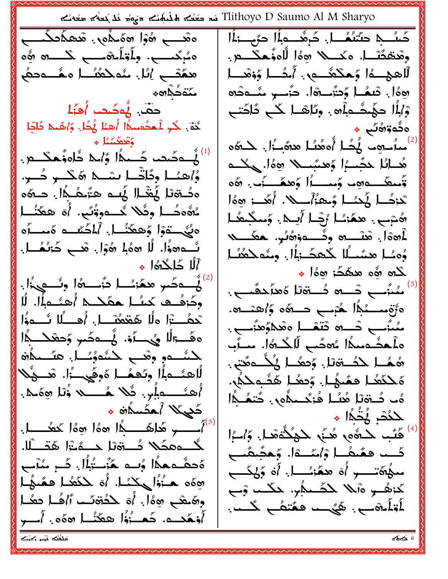Tlithoyo D Saumo Al M Sharyo تَمَّدُمُ مَتَّامُ مَنْ Tlithoyo D Saumo Al M Sharyo حَمِنُـــــــــمُ حَتَّنَعُــــــــلِ حَــرَهُـــــــــــوَ مِنْ الْمَرْضَىـــوَ مِنْ الْمَرْضَانِ ەقىب ھُوَ ھەممەن، قىھكەنگىس ەئېگىسى. ولُقِلُمەسى گىسە ئۇە لْلْعِجِسِمَا وَحِكْمُسُمِي. أَحْسَا وَوَمْسَا ھكَتَــــ إِيَّا. مُدَكَّطُسُــا مَكَـــدَدَكُم رَوهُا. ثَعفُـا وُتُمْـــرْها. حَنْــــو مُـــودُر مئةحُدَّاهِ حقّ لمُهضَما أُقَلْ وْإِذَا حَهُجُداْ». ونَاهْـا كُــ دَّاحَت كُمّ: كُلّْ أَهشُوسِهُا أَهْدُ لَهُكُلّْ وَٱهْتِمْ قَاتِيا  $\bullet$  فَدَوْهُكَ  $\bullet$ مأسوماً هُصُل أُوهُنُا هِهُبُزَا. كَلَّهُو ومحكميا .  $\hat{\mathcal{A}}^{(1)}$  مُصْحَب كَـــداً وَّامِدْ خُلُوفُهكَـــم هُــالُا حَجَّـــُ | وَهِــُبِــــلا 160. حِكْـــه وُاهسًا ودًاتْــا ىسْــــا ھَـْـــــــو حُــــو. وَمُعِكَمَدِهِ وَمِنْ أَوْ وَهِمْ أَوْ وَ وَمِنْ وَمِنْ وَمِنَّ وَمِنَّ وَمَنَّ وَمَنَّ وَمَنَّ وَمَ تَدَكُّط بِكَنْسا وُحِقَزْاً مِنْ أَهْبَ وَهُ أَ مُرْهُوحُـــا وِثُلا نُمْــووُتُب، أَوْ هِعَنُــا هُتْنِبٍ . هِمُنْكُمْ رُضَلَ أَيِنِيهُ . وَسَكِّيعُكُمْ وَلَيْ تَوْلَ وَهِعَنُـــــل: أَلْمَصَّـــم هَمـــــأه ـأهةا. مْتْـــد وخُـــووْهُبُ. حَيْـــد ئُـــدەدُّا. لَّا ھەْيا ھۇل. قْبَـــحْزَبُـمُــــل. وُهسُا هِمَّسُلًا كَهضَّزْأَا. وِمُعَكِفُلًا أَلَٰا حَاحُدُهُ! \* لَاه وَهُ مَحْمَدُ وَهُ ﴾ ودَوْكُ حَسُلٍ حَمَدُهِ أُهشُمْلًا. لَا ەژەممىگە گېمى دەھ ۋاھتىدە. تَحِمُّـــتْزَا ولَّا هَقَعَعُنْــــــا. أُهـــــلَّا نُــــوذًا مُمَّنَّبٍ حَـــده قَنْفَـــا هِ مَعْدَوُهنَّنـــبِ. دَهَـــ;الُّا مِنْــــــرَٰوْ. بُــــدَكْــرِ وَحِمْدَـــــدِّالِ ەلْھشەمىدا ، مەشى لَاڭلىدا. مىلَە لْمُسْــدو وهْــــى لْمُشْدَوُسُـــا. مَنْـــــمدُّف هُهُــا حَدُــةِتَا. وَحِعُــا هُـُـُــوَمَّتِي. لُاهنُـــه}ا ونُـعمُـــا هُوفَيـــزًا. هَـــوْلا هَ كَتَعُـا هِمُنهُـا. وُحِعُـا هَثَـهِ كُمْ. أُهنَّـــولُمٍ. قَلا هُــــــــــا وَٰنَا مِهَما. ەْب خُــةقا ھُئــا فُـزْكَـــىدُّەر. خُتْصُــدًا كَنِيكَلا أَحْكَسكُمْ \* حْدُمْ هُٰثُمُّا \* هَّبٌ كُنُّهَ مُنَّهَ حَجُّدُهُمَا. وَٱسْرَا كُـــومَكَلا دُـــةِ تَا حـــوَّــرَّا هَدَـــلًا. كَـــد هَمُـمُـــا وْاْمُـــــةا. وُهجُـمُـب ةَحقَــوَـمَدًا وُلَــو هَزَّــتُذَلِّمُ حَــرٍ مَنْآتِ مىئۇھ تىسىر اُق ھڭزئىسىل. اُف وَلِكَسى هِهَهِ حَزْرٌا كَكْسًا. أَهْ كَكَعُـا هِمَّكُـا كَمْرَهُــــــو هَلْمَا كَلْكَـــمكْبِ. كَكْسَب وْس وهَٰىغۡب هِهَٰٳ. أَهۡ ۞هُنۡصَد ٱاهٗـا حمُّـا أَوْلَمُوْمِبٍ . هُنُ مِ هُنْهُبٍ لَكَسْبٍ . أُوْهَٰكِ مَا أُوْلَمْ مِنْ الْمَحْشَاءِ وَاللَّهُ مِنْ أُوسِيو بمشاهَدُ اللّهِ اللّهُ اللّهُ اللّهُ اللّهُ اللّهُ اللّهُ اللّهُ اللّهُ اللّهُ اللّهُ اللّهُ اللّهُ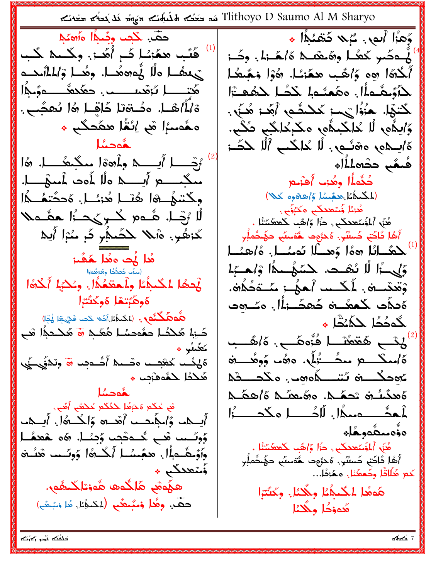| Tlithoyo D Saumo Al M Sharyo تَمَّة تَسْلُمُ مَا مُتَّابِقُ مَّةً مَنْ تَمَّةً مَنْ تَمَّةً مَنْ تَمَ              |                                                                                                                          |
|--------------------------------------------------------------------------------------------------------------------|--------------------------------------------------------------------------------------------------------------------------|
| حقّ كعب وصَّلًّا وأهكلا                                                                                            | وَهَٰۥًا أَبِي. سُرِيدٍ خَصْبُهِ! *                                                                                      |
| فَلَّب همَّنْـٰا تَـٰ ٖ أَهَـٰ: . وكَـٰمه كَـٰب                                                                    | أَيْــْمَصْرِ كَعُمَــا وِهَـْمْسَــدْ هَ/هَــزا. وضَـز                                                                  |
| يْ بِعَمَا وَلَا يُوْمِعَ مِنْ الْعَامِينَ مِنْ الْمَسْتَمَرَ                                                      | أَحْدَهُ! وه وَ}هُب محمَّنْـا. وهُوٓا وَجُبِعُـا                                                                         |
| هَٰتِــــــــــا تَرْهَىبـــــــــــــــــــــــــــــــــومَّــماًا                                               | لِمَأْوُحِشُماً أَ. وهُمْشُما كَلْحُما لِحْقُفِ وْأَ                                                                     |
| ة/1/شَــا. وصُــةڤ1 حُاقِــا هُا نُـهجَّـــى.                                                                      | كَتْتَهَا. هَنُؤُا يَهْدَ كَكَنْ مَنْ أَفْقَدْ هُنَّى .                                                                  |
| معُمسُرًا هُم إِنْقُا مِمَحكُم *                                                                                   | وَٰابِلَهِ ۖ لَا حُلِكَبِلَهُ مِكْبِحُلِكَبِ صُكَبٍ.                                                                     |
| حَدَّد الله عنه الله عنه الله عنه الله عنه الله عنه الله عنه الله عنه الله عنه الله عنه الله عنه ال                | ەُكْتِمْ وەشْمْ. لَا خْلَكْب ٱلَّا حْضَـٰ;                                                                               |
| رُجْـــا أُبِــــد وأَهةا مكْبِعُـــا. هُا                                                                         |                                                                                                                          |
| مىڭخىسىغ /يېسىك ەللى كەن ئامىتۇسىيا.                                                                               | حُثْمِلًا وهُنِب أَعْنُبِهِ                                                                                              |
| وكتىئ ۋا ھُنَــا ھُزئــا. ەَحجَّتمُــدًا                                                                           | (المُحْمَٰلُ هِجَْسُا وَاعِدُوهِ كَلا)                                                                                   |
| لَّا رُجْماً. هُـومِ كُــوِيَ حَــزًا هِهْــو                                                                      | هُزئا وُسْعِدِكُبِ مَكْرُوبٍ.<br>هُنَّى ٱلمُنصِّدحَةِ . دُرًّا وَٱهُب خَمْعَمَّتُنَا .                                   |
| كَنْهُرٍ. وْاللَّهُ لَكُمْلُو مُّ مُبْرَأَ أَيْمَ                                                                  | أَهُا دَّاحَّةٍ حُسْسٌرٍ. هُـدْوَد حُّقْسَفُ حَهُنْدُابِر                                                                |
|                                                                                                                    | <sup>(ا</sup> َ كَتَمَّـانُا «ەُا وَهــْلَا نَمنُــا. ەُ/ھنُــا                                                          |
| هُ <b>دا کُت دهُدا حَکَمَ:</b><br>رسْبَ حَمْدُا وهَرْهُدَا                                                         | وَإِنَّ أَلَّا تُحْسِبُ حَسَيْهِ مِمَّا وَإِسْرَاءَ                                                                      |
| لْمَحْمَا لِمَكْبِكَا وِلْمَعْمَدًا. وَحُكِياً أَكْثَا                                                             | وْتَعْكَسْةِ ۚ. لَمَكْسَسَهُ أَهْلُوا مُمْسَوْحُكُلَةِ .                                                                 |
| ەوھۇتقا ەوكئتوا                                                                                                    | ەَدەُد كُمھُــة دُھھُــ;اُل مَـُـــەد                                                                                    |
| <b>مُّوطٌكُمُو .</b> (الحُجُمُا أَصَّ حَد قَسَّيِّةِا هُيَّا)<br>صَنِهِ هَدَسُهِ حَمْدَسُهِ هُمَدِ قَ هَدَدِهِ هُو | لْحُد <i>َحُطْ حَجَّدْتُ</i> ا *                                                                                         |
| ى <i>گىدۇ پ</i>                                                                                                    | لَكْتِبِ هَقْعُقْسًا فُزُوهَـبٍ. هَاهُـبِ                                                                                |
| كَانُ مَنْ مَا مَسْلاً أَشْــٰهِ مِنْ الْمَسْنَةِ وَمَدْفَىٰ مَنْ مَنْ                                             | ەُ مىڭسىم مىھُستۇلُم. دەپ ۋوھُسىغ                                                                                        |
| هُكْدًا حَمُّەشْبْب                                                                                                | ئەدكىم ئىسىگەھە . ەڭدىشى                                                                                                 |
| حمَّدصمُا<br>َّمِ مُكَم مَجَمُّا كَنُكُم مُكْمَّعِ أُمَّعِ.                                                        | كَاهِدْسُلُغْ يْجِعْبْدْ. وْهُيْعِيْبْ وْ كَاهِجْبْ                                                                      |
| أَيْسِكُمْ وَٱلْكِلُمُصْبُ أَهْلِيهِ وَٱلْكُلُّةُ!. أَيْسَكُمْ                                                     | أُحدُّــــــــــــمِــمكُلْ. لَلْكُــــــــــــــــــ دُلِّـــــــــــدُلِّــــــــــدُلِّـــــــــد                     |
| وُوسُــىد ھَـــى گَـــەتْجِما وُحِــُــل ، ھَە ـقصفُــل                                                            | ەۋەممگە <b>وھُ</b> لە                                                                                                    |
| وَآَوُمِثْنَـٰہِۢۢٳٗا نِ مَجَّمِمُـٰٓا ۖ ٱلۡـُـٰدُّہٗا وَوِتَـٰمِن مَٓتَـٰدَٰی                                     | هُنَّهِ ٱلمُؤَسِّعِدِكُم . دُرًّا وَٱهُب كَعِعْكَتْنًا .<br>أَهُا دَٰاَكَتٖ حَٰىسُٰرٍ. هَٰدوُهِ هُقَىسَٰبٍ حَهُنصَٰدِ إِ |
| ۇشقىنىڭىغ ھ                                                                                                        | كَمْ هَٰلَاتًا وحَمْعَنَا. مَمَّرْدًا                                                                                    |
| هجُوهُم هَٰلِكُوهِ هُوزْتَلِكُنْهُونَ.                                                                             | هَءهُا لِمَكْنَظُ وَلَكْتُلْ. وَكَتُبْرَأَ                                                                               |
| حَصٍّ. وهُل فَسَّبِعَثُم (المُحَدِّيَّا. هُا فَسَّعَيَّا                                                           | كدوحًا وللكار                                                                                                            |
|                                                                                                                    |                                                                                                                          |

بَعْلَمُكُمْ شَهْدِ وَكُوْسُكُمْ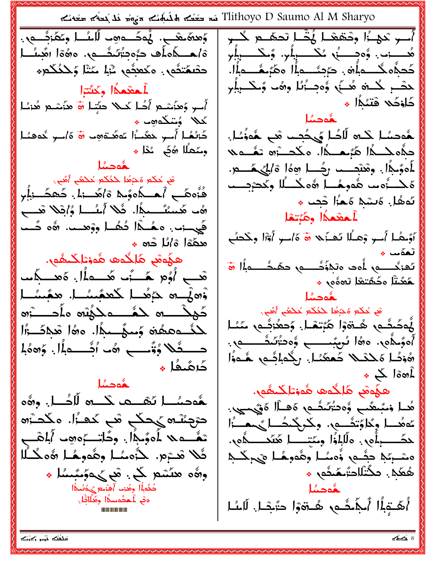Tlithoyo D Saumo Al M Sharyo تَمَّدُكُمْ مَتَّامُكُمْ يَتَوَكَّلُ مَتَّامُ مَتَحَمَّدُكُمْ مَتَحَمَّد وَهِهُمْهُمْ فَيَ أَنْ يَاءُكُمْ وَعَفَرْقُصِهِ . أُسِرِ نَحِيُّ وَجَعَعْمَا هُثَّمَا تَحصًــم كُـــرٍ ة/هـــكَاهلُّ دَوْمِثْرَنْتُـــم، 1860 (هُبِيُـــا ھُـــِــِـن، وُهجِـــــنُى مُكْــــــــزٖبُر. وَمكــــــــزٖبُر حثَىغَتثُوب. ەڭھېتُوب سُبْل مَتْلَ وَحَكُكُمْ \* كَحِبَّاه كُـــــــه الْمَنْ. حَرْجِئُـــــه الْمَاه هَجَّـــه عَلَيْهِ. ﯩষـَـــِ ﯩﻠـــة ھُـــَة وُدتـــُّەُمُا وَهُــا وُـــكــــوفُـلِي أعفعكا وكثترا حَاوْحُد قْتَبْدَأُ \* أُسِرٍ وَهٰذَسْمِ أَصَٰلَ حَمَلاً حَبِّنًا ۚ فَ هٰذَسْمِ هُذِيْنَا ىُمْلَا وُسْكُدُهَا \* كَرْتُهُــا أُســو حَعَّــأَا عَاهَــتَامِــا ﴿ وَأَسـوا خُـدَهــُـا ـهُوصُـل كَــْـرَه لَلْاصُـل فِيحُجِــب مْـح ـهُوذُـُـل. وسُعلًا هُنَّ ۚ غُدًا ﴾ حِفْهِ لِمَسْلَمَا الْمُهْتَمَاتِ مَكْحَسَةٍ مِنْ تَقْسَمِيهِ لَمَوْمَدًا. وهُبْعَــب رجُـــا هِهُ! وْلِيْهُـــمْ. قى مُكَم مَدَمُا كَنُكُم مُكْفَى أُهُى . هَكِـــزُه ما هُوهُـــا هُوكُـــاُا وكحرْبــــا فُتُوهَـــع أَــــكُومُــِمْ وْاهَـــنها. خُـھحَـــنفُـِر ئەھُل. ەَيشك ەَجْزَا خْصَر \* ھُڡ ھُسىُنَـــــمِدًا. ۖ فَلا ٱسْـــا وُاقِلا قَــــح أحفعكا وهزتما فَي -: ، ، هَــٰـٰٓآ دُهُــا ووۡهـــــ، ۞ه حُـــــ أَوُّبِّصًا أَسِرٍ وَهِـلًا نَعْـذَبِهِ ۖ هَ هَاسِرٍ أَوْأَا وِكْحَبِّ هِ هَوَا وَاللَّا دُهِ ﴾ ثمةً ما \* هِجُوهُم هَٰلِكُوهِ هُوزْتَالِكُنفُومِ. قْبِ أُوُمِ هَـــَّت هُـــولَمَا. هُعـــوهُم هَهُنْنَا هَخُهُنَهْا نُمِهُم \* ۋەق مېڭىلگىچىسىل ھۇسسا  $\mathbf{L}$ قَعِ غَكْمَ مُدَمَّدًا لِكَنَّكُمْ غُلْمُعَ أَهُمٍّ. كملك مع للمُشر ملك الله عام المستره لْمَصَّفَى هُـ ةَوْا هَبَّتَهْـا. وَحَعُرْثُــى مَنْـا لْمُسْمَعِثُوهُ وَسَهَّسِمًا. وَوَا مْحَاضَــرَّا أُوَدِّهُونَ، وَهَٰٓا نُرِيَّبُـــــــــــو وُودَّتُنَكَــْــــــونَ. حــــفُلا وُقُــــــ 2% اُجْــــــــه اُلْ. وَ2% لِمَ هُوَصًا مَكْتُكُلُّ هُعَمَّنًا. رِكْمِلِقِّمٍ هُـوَٰٓأ جُرهُنُدُا ؞  $\frac{1}{2}$  isol ـمُّەدىئا هِ هُوْمٌ هَا گُوه هُوزا كُنْهُو. هُوصسُـــا نَـصْـــعب كْــــرَّه لَّاحُــــا. وِرُهُو هُــا وَمَبْعَثَبٍ وُدَتُّسَٰفُـمٍ هُــْالْ هَوْيَــــِي. حرَّجَمْدُه مَانُــفَعْمَ مَعْـــرَه مِنْكَـــرَه مَعْمَدًا وِكَاوَتِفْسِهِ. وِكَعِكْمُدًا يُحِمِيْنَا تْعُـــه لا لِمُوۡبِذَا ۚ. وِحُاتَـــَ ۚوَوَفَ ٱبۡاهۡــِيَ ثُلًا ثَعــْبَـْم. ۖ حَـُومُـٰـا وِهُومِـٰـَا وُوحُـٰـاً متحبره للموهو أومنا وهوما ويجتبسه ھُعَّې. دڭتْللڪُ**مَ**حُم \* وڤە ھنشم كې. ئې كەۋىئىسلا م حُذُّهِ أَلْمَ مُنْ وَحَدَثَ أَهْتَمِ مَنْ وَالْمِكْمَاتِ الْمُؤْمَنِينَ مِنْ مَنْ وَالْمَدَّمَ ەڭ Lھבُەمىدًا وھَلَاتِّا. أَهَّتِهِمُّا أَمِجَّمَحْـهِ هُـقَوْا حَتَّمِثْـا. لَلَسُّا

كنفته ترد وكافته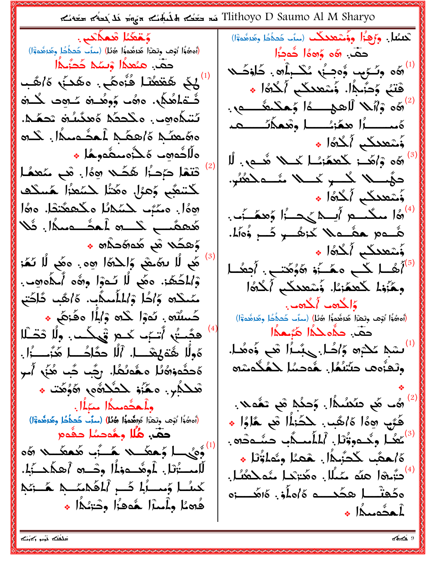Tlithoyo D Saumo Al M Sharyo تَمَّدُمُ مَتَّامُ مَنْ Tlithoyo D Saumo Al M Sharyo

ۇغكىلا قىمكىپ (أَدَهُوَا أَوْهَا وِتَعْزَا هُاهُمُو وَا هُلَا) (مَدَّبٍ خَطَفُطْ وِهَاهُدَوْاً) حقّ. منْعداً وْسَدْ حُجّْهاً لَّكُمْ هُقَعُفُدًا فُنُوهُى مِنْ هُدَى  $\delta$ اهُب ئَــتَمْلَمُكُمْ. هھُ۔ وَوِهُـــة ـُـــهِ ـَــُــدَة ئتىكەھە . ەڭجكە ەھگى*ئ*ە تج**م**َّى. ەھكىمىگە كاھكىمىلىكىلىك ئىس ەللۇھەپ كەن مىگەرىما ھ  $\sum_{i=1}^{\infty}$ تتما حَمْدُا هَكَد هِهْ. هَي مَعدُ لْكُتْبُعُ وَعَزَلَ وَهُنَّا كُسُعْزًا هُسْكُف اهِهَا. مِمْبُ لِمَمْلَا مِكْعِعْتِدًا. وهَا أَهَٰى لَا سَمَّى وَالْحَدَّةَ وَهِ وَ مَعْ لَا تَمَّزُ وْٱلْمُحَمَّرْ. وهُم لَّا نُـوْوَا وهُو أَمْلُوهو. مَمْكَلُوهِ وَٱمْلَا وَٱلْمُلَمِيْمِينَ ۚ ٱلصَّلِي وَٱلْحَتِي كَسْلَاهِ . نَدْوَا لَكُهُ وَ}ِذَا هَفَزْهَمْ \* هَبْتُهِ أَتَّ مَا حَمْدٍ قَبِيكُتٍ. وِلَا قَصَّلَا هَ ولًا ۚ هُـٰٓ هُمْ يَحْـَـــــل ٱللَّهُ حَدَّاحُـــــــل مَّذَّ ــــــزُل ِ. ەُحثُەوْھُلُّا ەھُەلُھُا. رَجَّى تَب هُنَّى ٱمر هْلِكُمْبٍ. مَعَّزُو لِلْشَلْعُهُمْ هَٰؤُهَٰتٌ \* وأهدُّه بمكَّل معَ أل (أَدَهُوَٰا ٱوْمَد وِتَحَاْلَ هَٰزِاهُمْهُ) (مَثَلُ) (مِنَاتَ خَمِدُّهُا وَهُدَاهُدَةٌ) حقّ. هُلَّا وهُوصُل حقُوم وَىٰ الْمِعطَــــــلا هَــــَٰبَ هُعطَــــلا 6ه لَّامِــــُرْتَا. ـ أُوهُـــوداًا وحْـــره أَهكُمـــزَبا. كْسُـٰا وَمَـٰـاُا كَــرِ ٱلمَكْمَـٰـٰهِ هَـٰـٰٓتَهِ فُهمًا وأَسْرًا هُوفُوا وِدْتِهُا \*

لْكَتْعُلُلْ: وَرُحِزُلُ وَفُسْعَدَلْكُمْ (سِنَا خَدَاجُا وَهُرَهُدَةَ)  $\int_{0}^{s} \frac{1}{2} \cos \left( \frac{1}{2} \cos \left( \frac{1}{2} \right) \right)$  دَهَا الْمَوْ ە وئىرَىپ ۋەھىزُە ئىگىرلەن. كَاوْكَىلا $\sim$ ۚ هَتَبُ وَحَزَىجًا. وَمْعدكَ ۖ أَلَكْمَا \* أَهُهِ وَٱللَّهُ لَاهِهِـــهُ أَوْهِكْمِثْـــهِ. وَمْعِدِكُم أَكْرَهُ ﴾ 6ّه وْأَهَد: كَعِمَّتْهَا كَلُّهُ هُلُوبٌ. لَا حۇسىلا ڭى كىيالا مۇسىملاھگېر. وُسْعِدِكُم أَكْتُهَ ﴾ أَهْلِ مَكْسَمِ أَيْسِمْ كَهْسَنُوا وَهِمْسَنُو. هُـــوم ههُـــو لا كَاهُــــو كَـــر وُوَلَهُ. وُسْعِدِكُم أَكْتُهَا \* كَبِ مَصَـٰزَةِ ۞وُهَـٰبِ. أُحِعُــا $\int^{(5)}$ وهَّزُوْلُمْ كَعْجَزْئَا. وَمْتَعْدَكْبِ أَكْرَهُ ا وَالْحُمْدِ أَلْحُمْدِ. (أَدَوُّوْا أَوْهَا وَيُعَزَّا هَٰذَاهُدِوْا رَفُّلْ) (مِنَّكَ خَصِرُّخًا وَهَٰزِقُدَوْٓا) حقّ حدُّه حَكَّا هُزَيْمَهَا أَسْبَطِ مَكْتِرَةٍ وَٱكْلَىٰ كَمِبْسَرًا هَبِ وَوَهُدَا. وِلْعَنُومِ حَتَنَعُلَ. هُوصُل كَمُكُوسُو  $\sim$  هُ۔ هُم حنَّحْسُمُ ). وُحكُمْ هُم تقْم $\alpha$  . هَّرَى وَوَا وَاهْبٍ. حَدَّنَا هُو هَاوُا \* أَعْمَٰا وِكُــووُنَا. ٱلمَلَّمــدَّب حسَّــودُه. هُ/همَّب جُدَّنَدُا فَالْمَصْلُمُ وَشَاءُوْتَا \* <sup>4</sup> دَ<sub>َّ</sub>نوا هلَّه مَيْلًا. وهُتِيْجا مُفْجِعُظُل. ەكھتْـــا ھككـــــە ەُاەلُغ. ەَاھُــــزە \* Kusaal

بمشابهته بتها بمستنقط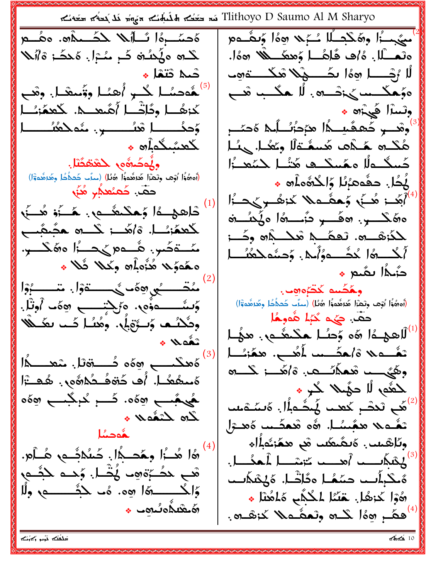Tlithoyo D Saumo Al M Sharyo تَمَّة تَمَّة الْمُسْلِمُ مَّة تَمَّيْنَة تَمَّة تَمَّة تَمَّة تَمَّة تَ ەَحسَّــوەُ كَـــالَه للْكَــــمالَه. وهُــــم معَيْمِيزًا وَهَكَذِيْبًا شَبَّنَهُ وَهُ أَوْسَقُومِ ەتمىلگا. ەُ/فَ قَائْسَا وَمِعَنَّىلُلَّا (20%). لگπہ ہ}ْدُلُہ کُم مُـْٓءِلَ مُحکَّمْ ہُ $\partial$ لا لَّا ہُجَـــا ہوٰا ںکَـــوْلا مَکَــــة وب صَّد قتمًا \* أَهُوصُمْ الْحُبِنُ أُهْمُا وِقُمِعْنَا. وَهُبَ ەۋھكىسە ئى:ئىسە ، لا ھگب ئىس وتسأل في آسني كَرْهُــا وِدًاتْــا أُهُـعـــــــــا. كَعِمَّرْــــا 'وهْب حَّهفَي أَا هرَدُوُ أَما هَجَدَ الله وٌحدُـــــــــا مْنُــــــــــــو. مُنْمكمُنُــــــــا لاهسُكُمْ أَنْ \* مَكْدِ حَكْمَهِ لَمَسْمَّدَةَ الْمَسْتَمَامَةِ مِكْدَ وهُدَدُهُ مِ الشَّقَطُّ. كَسِكْتُولًا وَهُسِكْتُ وَيَتُبْتَلَ كَيْتَعِبْزُا .<br>(أەھُوَّا ٱوْھ وِتْعَبَّا هُدَهُدوُّا هُلَّا) (مىلَّە خَتْجُاخُا وِهَدَهُدوُّا) لْمِحَا. حَقَّوْهَا وَالْحُدُّومَاهِ \* حقّ دَهسُلامُ مُنَى أَبْكِرَ بِمِثْمَةٍ وَحِصَّدِهِ كَاشَرَ مِنْ مَا أَبْكَرِ مِنْ الْمَرْكَبَ أَ تَعْلَمُ الْمَحْمَدُ مِنْ الْمَسْرَوْ هُـــنَّىْ ەھكىب ھۇئىب ئۆسىھا ەڭگىگە كَعْمَنْـَـا. ةَاهَـــز كَــــرَّهُ هَجَّـمَّبَـــح لمكْنْصْدِه. تَفْضَّــدْ هُلْـــدْ» وَكَـــز سُــةَحُس: هُـــەم كِحـــُّا هِ هَكَـــبِ. أَكْسِرُهُ الْحُشُسِدَوُأَبِي. وَحِشَمَكَعُنُسَا o Ni Ni, vició Nigero دُمكَا بِمُبْعِ \* مُقَدِّرٍ وَهَدٍ مُسْتَوْلٍ شَدْرِ وَوَا وهَكُسه كَتْرُەرەب. (أَهِهُوا ٱوْهَا وِتْعَزَّا هُدَهُواْ هُنُا) (مِنَّا خَصَفُطُ وِهَٰدِهُووْا) ۇنىئىسسىمۇەب. ەزىجتىسىپ بوەت لوتال. حقّ ديّ مرتب العقا وتُكْلُّْفُ وَّلَــوَّقِ}ْ. وَتُعُلَّلُ تَــَــٰ نَقَــْتُلَّا لْلْعِهِمَا هَ وَحِبُ هَكْمُحُمٍّ. مَهْلَ \* Waîî تَعْسَمَلا ةَاحْفَسْمَدْ لِمُعْسَىٰ مَعْنَمْنِسَا <sup>)</sup> ەَمكىـــــ وەە دُـــــةتل. شمـــــدًا وكَيْبِ، تَعْمَلَائِكْ، 20كْسْمْ: تْكْسُرُه ەَسىھُىھُىل. أَفْ خُوْهُدْ جُمْلُوهُ عَنْدِ الْمُسْتَوَا لحقُم لَا حَهْيلًا كُبْ \* هُيهُب وهُه. دُبِ كُرِجُب وهُه أَهُم تَدَمَّرِ كَعَبَ إِيَّاهُمْ أَنْ وَيَشْوَيْبَ Lo Låd vi تَعْـٰه لاَ مَعْبَسُـا. ۞ه مْعَضَـْب هَ مَـْتَل مُّوصِيُل وِتَاهَىكَ. ەَتْمَىغَتْ شَى مَعْزَعْوَلُهُ. (4) هُــزُا وهَدـبُوْا. حَسُلابَــمِ هُــِلُم. ألى شمال المسموم توسيسا الأحداب المسابر المسموم والمسموم والمسموم المسابق المسابق المسابق المسابق ال هَـــح حَكَّةِ وَمِــد هُـَـْــل وَحــد حَكِّــم ەْكْبِلُسە ھىئىل ەڭاشىل. ەْكْتْدَاسى وَاكْــــــــةَا هِه. هُــ كَثِّــــــــــم، وِلَا هُوْا حُزهُا. حَنَّا الْحُكُم مَامُثَا \* ∻ မတုက္ရာက္လားလ္ هِهَم هِهُمْ كُلْمٍ وِتَعَمُّدُكُمْ لَمَرْشَدِهِ. بخنفته بتقا بخفلة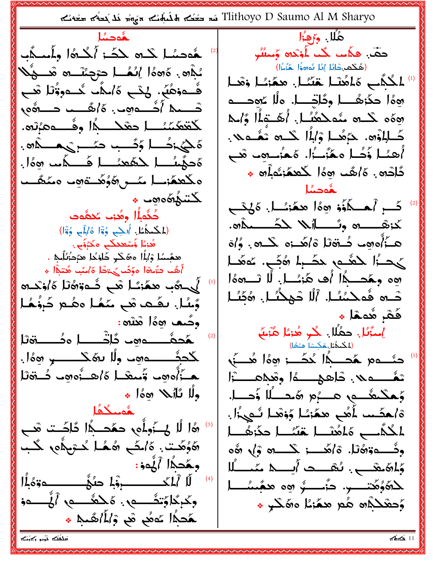Tlithoyo D Saumo Al M Sharyo تَمَتُكُمْ الْمُسْلِمُ مَعْهُمْ مَنْ تَحْتُمْ الْمَسْتَمْتُمْ مَتَحَمَّد هودئا هُلَا. ورَوْدُا هُوصُل كُلُّ حُكُمْ أَكْلُوا وِلَمِيكَب حقّ فكات لُك لَمْ نْدَاه وُسْلُو (هُكْمَ خَائِلَ إِنَّا ثَوْوَوْا هُنْهَا) مُكِلُّهِ . هَاهُمَا إِنُـمُـــا حرَّجِئْنَـــهِ هَــــؤُلَا المُكْمَى مَاهُنْا مْتَسَا. مِمَّنْا وْهْا ڤُــوَهُّكُ، كِكَــع هُ/مِّكَ گَـــووُّلْا هُــع هِهُا حَذَّرْهُــــا وِكُلَّــِـــا. ولَا عُهجـــــم رەمَه كە مۇھكىشىل أَهْتَمَا أَوْلِيد كَقْعَمَّمُهُ لِمَا حَقْدَ ــدًا وفُــــــــــــه مَرْتُرُه. كَسْلِلْوْرَهِ. حَرِّهُمْ أَوْلِمُ أَكْسَرُهُ تَعْسَمُهُ . هُكَهُرْحُــــا وُحَّـــب حَـُــــرِ ٛ مِـــدُهُ . أُهنا ذُكُل مَعَّنُو أَ. هُمُنوبِ هُب ەَدېْسُلىكى ھەسىلى ھَـــــــاَمى ھەرا. دَّادُه : هَ/هُم سَهُ/ كَعْمُرْشُوبُه \* ەڭلاھزىسا مىسى ھۇھىسقەي مەمئىگىس  $\mathcal{L}_{\mathbf{a}}$ Lüggoos & كُبِ أَحْسَلَهُوْ وَوَٰا هِمُّوْسًا. وَلِحْسَ دُثُهلُّا وهُن مُحفُّوت كَنْتْصَدْرُهُ وتُسْلَلُهُ لِكَسْمِيْهُمْ. (المُحْمَٰطُ. أُلِحِي وُوْٓا هُ/إِنِّي وُوْٓا) ههَزُاه ه د هُـ مَوْتا وْاهُــزه گــــره . وُاوَ هُزئا وُسْعدكُم مكَبُوَّمٍ. هجَّسُا وْ)باًا 5% كَلِّ كَافْكا هرَجَّنَّاكِمْ . لحفظ ، بِــةُ مُ مِـدَّــهِ مِـدَّةُ مِـدَّةٌ مِـدَّةٌ مِـدَّةٌ مِـدَّةٌ مِـدَّةٌ مِـدَّةٌ مِـدَّةٌ أُهًب حَبَّـــرْهَا وَوُجَّبَ حَجَّجْلَ وَأَسَّبَ هُـتَــدَّا \* الَّكَلِي وَالْمُسْمَوْتُ الْمَعَامِ شَـه وَوَادُكَا كَاهْ كَسَاءَ مِنْهُ مِنْهُ مِنْهُ مِنْهُ مِنْ تْــرە فُەخْسُتُـا. ٱللْا تْجِخْتُـا. رُوَجُتُـا وًْسُلْ. بْقَيْتْ شْهَا مْمُتْمْ خْرَفْهْا كَثْر شُەھْل \* وَهُتَ اللَّهُ أَشْرُوا وَ ِ مُعَلَّل حَمَّلًا کُر مُنْ مُنْ مُنْ مُنْ مُنْ الْمُنْ مُنْ الْمُنْ مِنْ مِنْ الْمُنْ مِنْ الْمُنْ<br>(الْحَمْظِ عَجْسًا عَنْفا) لْمُحفَّـــــــــــومِــ كُلِثْــــــــــل ودُــــــــوْثَل هــَأْلُوهــ تُسعْــا هُ/هـــزُوهــ دُــقال ولًا يُلأمِ 160 % وَحَكَمَعُكُم مَسْرُم وَمَصْلًا وَصَلَّا. میلاُهُا ة/هصًــد لِمُعُــد هــمُ:سُــل وَذِهْــل نُــميدُل. أَهُ الْمُ يَوَمُّوهِ حَمَّدَ جُمَّا خَاجَتْ هَب لمحْدًىـــــــــ مَاهُنْــــا هَنَّــــا حدَّوْهُــــا ھَوُهُـت. هُ/ـکَــ هُـھُــا کُــتَىـِدُهِ، گَــب وثُـــــــــــوتوهُ لَــا. ۚ قَاهَـــــــز كَـــــــــو قَ فَي هُ وهَحِدًا أَيْدَهُ: وَلِمَعْصَبٍ . تُمْسَدُ أَيِسِيمُ مَمْسَلًا للە*ۋەتتىب. دۇسىۋ ۋە ھېگىنى*سا وَحَقَدَاءُ مَمْ مَعْنَا 50 كَبِر \* هَجْدًا عَمُع هُم وَٱلْمُٱهْدِمِ \*  $\pi$ di $\pi$  $\leq$  1